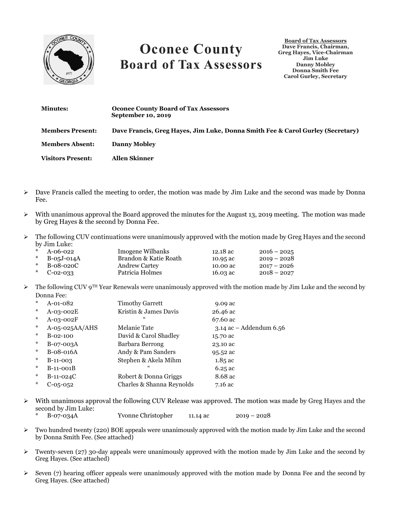

## **Oconee County Board of Tax Assessors**

**Board of Tax Assessors Dave Francis, Chairman, Greg Hayes, Vice-Chairman Jim Luke Danny Mobley Donna Smith Fee Carol Gurley, Secretary**

| <b>Minutes:</b>          | <b>Oconee County Board of Tax Assessors</b><br>September 10, 2019              |
|--------------------------|--------------------------------------------------------------------------------|
| <b>Members Present:</b>  | Dave Francis, Greg Hayes, Jim Luke, Donna Smith Fee & Carol Gurley (Secretary) |
| <b>Members Absent:</b>   | <b>Danny Mobley</b>                                                            |
| <b>Visitors Present:</b> | Allen Skinner                                                                  |

- $\triangleright$  Dave Francis called the meeting to order, the motion was made by Jim Luke and the second was made by Donna Fee.
- $\triangleright$  With unanimous approval the Board approved the minutes for the August 13, 2019 meeting. The motion was made by Greg Hayes & the second by Donna Fee.
- $\triangleright$  The following CUV continuations were unanimously approved with the motion made by Greg Hayes and the second by Jim Luke:

| * $A-06-022$     | Imogene Wilbanks      | 12.18 ac | $2016 - 2025$ |
|------------------|-----------------------|----------|---------------|
| * $B-0.5J-0.14A$ | Brandon & Katie Roath | 10.95 ac | $2019 - 2028$ |
| $*$ B-08-020C    | <b>Andrew Cartey</b>  | 10.00 ac | $2017 - 2026$ |
| * $C-02-033$     | Patricia Holmes       | 16.03 ac | $2018 - 2027$ |

 $\triangleright$  The following CUV 9<sup>TH</sup> Year Renewals were unanimously approved with the motion made by Jim Luke and the second by Donna Fee:

| $*$    | $A-01-082$     | <b>Timothy Garrett</b>    | 9.09 ac                   |
|--------|----------------|---------------------------|---------------------------|
| $*$    | A-03-002E      | Kristin & James Davis     | 26.46 ac                  |
| $*$    | $A-03-002F$    | $\epsilon$                | 67.60 ac                  |
| $\ast$ | A-05-025AA/AHS | Melanie Tate              | $3.14$ ac - Addendum 6.56 |
| $*$    | $B-02-100$     | David & Carol Shadley     | 15.70 ac                  |
| $*$    | B-07-003A      | Barbara Berrong           | 23.10 ac                  |
| $*$    | B-08-016A      | Andy & Pam Sanders        | 95.52 ac                  |
| $*$    | $B-11-003$     | Stephen & Akela Mihm      | $1.85$ ac                 |
| $*$    | $B-11-001B$    | "                         | 6.25 ac                   |
| $*$    | $B-11-024C$    | Robert & Donna Griggs     | 8.68 ac                   |
| $*$    | $C-05-052$     | Charles & Shanna Reynolds | $7.16$ ac                 |
|        |                |                           |                           |

- $\triangleright$  With unanimous approval the following CUV Release was approved. The motion was made by Greg Hayes and the second by Jim Luke: \* B-07-034A Yvonne Christopher 11.14 ac 2019 – 2028
- ➢ Two hundred twenty (220) BOE appeals were unanimously approved with the motion made by Jim Luke and the second by Donna Smith Fee. (See attached)
- $\triangleright$  Twenty-seven (27) 30-day appeals were unanimously approved with the motion made by Jim Luke and the second by Greg Hayes. (See attached)
- $\geq$  Seven (7) hearing officer appeals were unanimously approved with the motion made by Donna Fee and the second by Greg Hayes. (See attached)